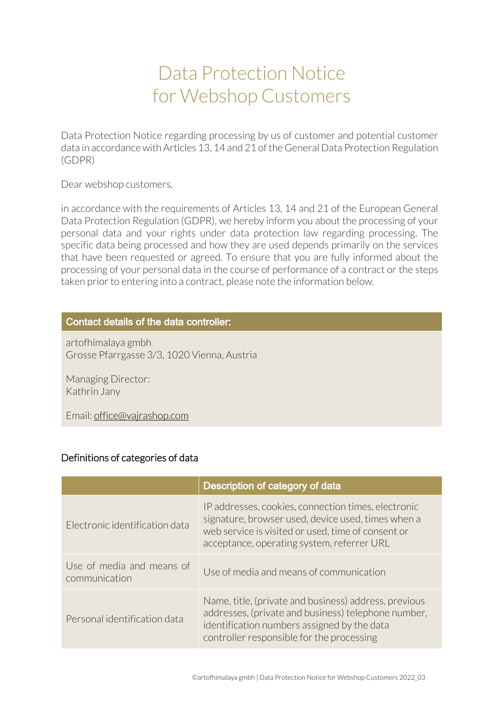# Data Protection Notice for Webshop Customers

Data Protection Notice regarding processing by us of customer and potential customer data in accordance with Articles 13, 14 and 21 of the General Data Protection Regulation (GDPR)

Dear webshop customers,

in accordance with the requirements of Articles 13, 14 and 21 of the European General Data Protection Regulation (GDPR), we hereby inform you about the processing of your personal data and your rights under data protection law regarding processing. The specific data being processed and how they are used depends primarily on the services that have been requested or agreed. To ensure that you are fully informed about the processing of your personal data in the course of performance of a contract or the steps taken prior to entering into a contract, please note the information below.

## Contact details of the data controller:

artofhimalaya gmbh Grosse Pfarrgasse 3/3, 1020 Vienna, Austria

Managing Director: Kathrin Jany

Email: office@vajrashop.com

#### Definitions of categories of data

|                                            | Description of category of data                                                                                                                                                                               |
|--------------------------------------------|---------------------------------------------------------------------------------------------------------------------------------------------------------------------------------------------------------------|
| Electronic identification data             | IP addresses, cookies, connection times, electronic<br>signature, browser used, device used, times when a<br>web service is visited or used, time of consent or<br>acceptance, operating system, referrer URL |
| Use of media and means of<br>communication | Use of media and means of communication                                                                                                                                                                       |
| Personal identification data               | Name, title, (private and business) address, previous<br>addresses, (private and business) telephone number,<br>identification numbers assigned by the data<br>controller responsible for the processing      |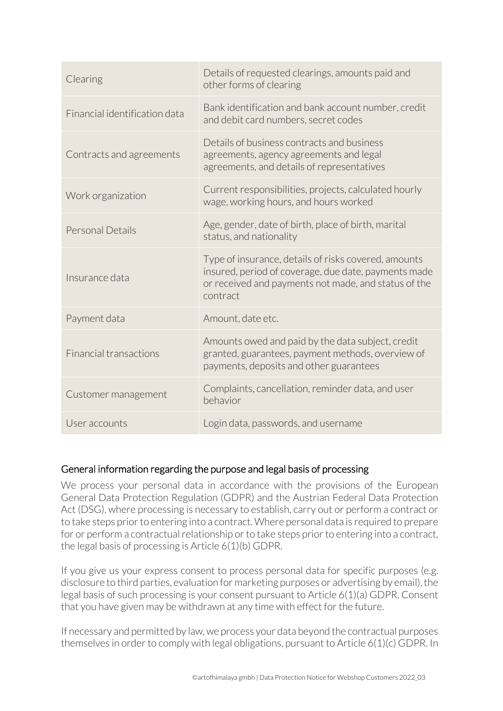| Clearing                      | Details of requested clearings, amounts paid and<br>other forms of clearing                                                                       |
|-------------------------------|---------------------------------------------------------------------------------------------------------------------------------------------------|
| Financial identification data | Bank identification and bank account number, credit<br>and debit card numbers, secret codes                                                       |
| Contracts and agreements      | Details of business contracts and business<br>agreements, agency agreements and legal<br>agreements, and details of representatives               |
| Work organization             | Current responsibilities, projects, calculated hourly<br>wage, working hours, and hours worked                                                    |
| Personal Details              | Age, gender, date of birth, place of birth, marital<br>status, and nationality                                                                    |
| Insurance data                | Type of insurance, details of risks covered, amounts<br>insured, period of coverage, due date, payments made                                      |
|                               | or received and payments not made, and status of the<br>contract                                                                                  |
| Payment data                  | Amount, date etc.                                                                                                                                 |
| <b>Financial transactions</b> | Amounts owed and paid by the data subject, credit<br>granted, guarantees, payment methods, overview of<br>payments, deposits and other guarantees |
| Customer management           | Complaints, cancellation, reminder data, and user<br>behavior                                                                                     |

## General information regarding the purpose and legal basis of processing

We process your personal data in accordance with the provisions of the European General Data Protection Regulation (GDPR) and the Austrian Federal Data Protection Act (DSG), where processing is necessary to establish, carry out or perform a contract or to take steps prior to entering into a contract. Where personal data is required to prepare for or perform a contractual relationship or to take steps prior to entering into a contract, the legal basis of processing is Article 6(1)(b) GDPR.

If you give us your express consent to process personal data for specific purposes (e.g. disclosure to third parties, evaluation for marketing purposes or advertising by email), the legal basis of such processing is your consent pursuant to Article 6(1)(a) GDPR. Consent that you have given may be withdrawn at any time with effect for the future.

If necessary and permitted by law, we process your data beyond the contractual purposes themselves in order to comply with legal obligations, pursuant to Article 6(1)(c) GDPR. In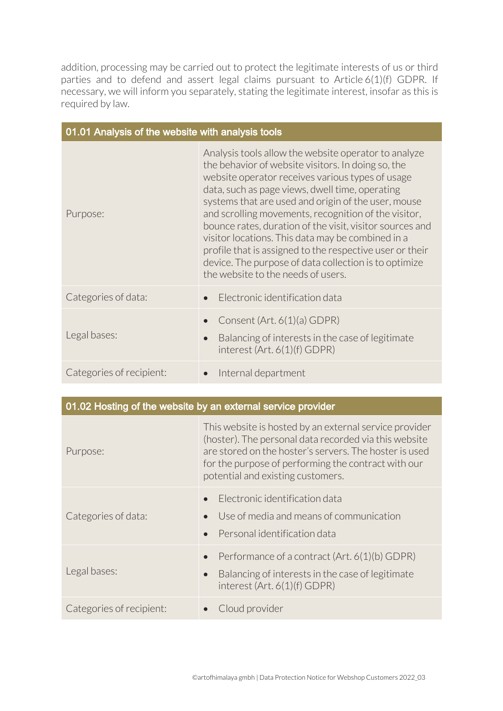addition, processing may be carried out to protect the legitimate interests of us or third parties and to defend and assert legal claims pursuant to Article 6(1)(f) GDPR. If necessary, we will inform you separately, stating the legitimate interest, insofar as this is required by law.

| 01.01 Analysis of the website with analysis tools |                                                                                                                                                                                                                                                                                                                                                                                                                                                                                                                                                                                                              |  |
|---------------------------------------------------|--------------------------------------------------------------------------------------------------------------------------------------------------------------------------------------------------------------------------------------------------------------------------------------------------------------------------------------------------------------------------------------------------------------------------------------------------------------------------------------------------------------------------------------------------------------------------------------------------------------|--|
| Purpose:                                          | Analysis tools allow the website operator to analyze<br>the behavior of website visitors. In doing so, the<br>website operator receives various types of usage<br>data, such as page views, dwell time, operating<br>systems that are used and origin of the user, mouse<br>and scrolling movements, recognition of the visitor,<br>bounce rates, duration of the visit, visitor sources and<br>visitor locations. This data may be combined in a<br>profile that is assigned to the respective user or their<br>device. The purpose of data collection is to optimize<br>the website to the needs of users. |  |
| Categories of data:                               | Electronic identification data                                                                                                                                                                                                                                                                                                                                                                                                                                                                                                                                                                               |  |
| Legal bases:                                      | Consent (Art. 6(1)(a) GDPR)<br>Balancing of interests in the case of legitimate<br>interest (Art. 6(1)(f) GDPR)                                                                                                                                                                                                                                                                                                                                                                                                                                                                                              |  |
| Categories of recipient:                          | Internal department                                                                                                                                                                                                                                                                                                                                                                                                                                                                                                                                                                                          |  |

|                          | 01.02 Hosting of the website by an external service provider                                                                                                                                                                                                          |
|--------------------------|-----------------------------------------------------------------------------------------------------------------------------------------------------------------------------------------------------------------------------------------------------------------------|
| Purpose:                 | This website is hosted by an external service provider<br>(hoster). The personal data recorded via this website<br>are stored on the hoster's servers. The hoster is used<br>for the purpose of performing the contract with our<br>potential and existing customers. |
| Categories of data:      | Electronic identification data<br>Use of media and means of communication<br>Personal identification data<br>$\bullet$                                                                                                                                                |
| Legal bases:             | Performance of a contract (Art. 6(1)(b) GDPR)<br>$\bullet$<br>Balancing of interests in the case of legitimate<br>$\bullet$<br>interest (Art. 6(1)(f) GDPR)                                                                                                           |
| Categories of recipient: | Cloud provider                                                                                                                                                                                                                                                        |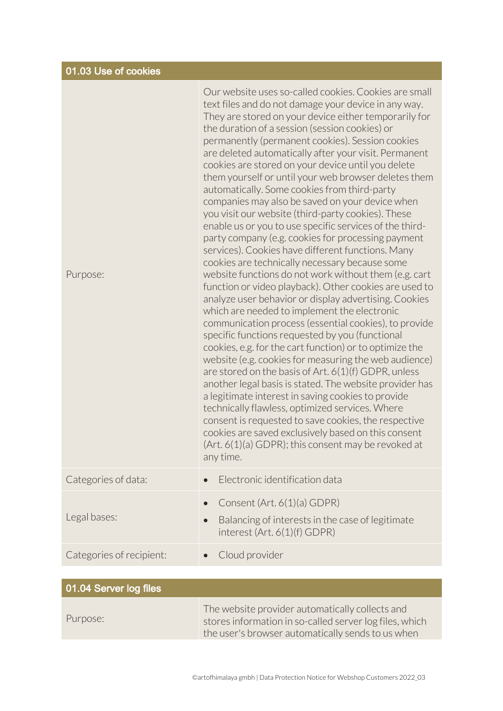| 01.03 Use of cookies     |                                                                                                                                                                                                                                                                                                                                                                                                                                                                                                                                                                                                                                                                                                                                                                                                                                                                                                                                                                                                                                                                                                                                                                                                                                                                                                                                                                                                                                                                                                                                                                                                                                                                                                                   |
|--------------------------|-------------------------------------------------------------------------------------------------------------------------------------------------------------------------------------------------------------------------------------------------------------------------------------------------------------------------------------------------------------------------------------------------------------------------------------------------------------------------------------------------------------------------------------------------------------------------------------------------------------------------------------------------------------------------------------------------------------------------------------------------------------------------------------------------------------------------------------------------------------------------------------------------------------------------------------------------------------------------------------------------------------------------------------------------------------------------------------------------------------------------------------------------------------------------------------------------------------------------------------------------------------------------------------------------------------------------------------------------------------------------------------------------------------------------------------------------------------------------------------------------------------------------------------------------------------------------------------------------------------------------------------------------------------------------------------------------------------------|
| Purpose:                 | Our website uses so-called cookies. Cookies are small<br>text files and do not damage your device in any way.<br>They are stored on your device either temporarily for<br>the duration of a session (session cookies) or<br>permanently (permanent cookies). Session cookies<br>are deleted automatically after your visit. Permanent<br>cookies are stored on your device until you delete<br>them yourself or until your web browser deletes them<br>automatically. Some cookies from third-party<br>companies may also be saved on your device when<br>you visit our website (third-party cookies). These<br>enable us or you to use specific services of the third-<br>party company (e.g. cookies for processing payment<br>services). Cookies have different functions. Many<br>cookies are technically necessary because some<br>website functions do not work without them (e.g. cart<br>function or video playback). Other cookies are used to<br>analyze user behavior or display advertising. Cookies<br>which are needed to implement the electronic<br>communication process (essential cookies), to provide<br>specific functions requested by you (functional<br>cookies, e.g. for the cart function) or to optimize the<br>website (e.g. cookies for measuring the web audience)<br>are stored on the basis of Art. $6(1)(f)$ GDPR, unless<br>another legal basis is stated. The website provider has<br>a legitimate interest in saving cookies to provide<br>technically flawless, optimized services. Where<br>consent is requested to save cookies, the respective<br>cookies are saved exclusively based on this consent<br>(Art. 6(1)(a) GDPR); this consent may be revoked at<br>any time. |
| Categories of data:      | Electronic identification data<br>$\bullet$                                                                                                                                                                                                                                                                                                                                                                                                                                                                                                                                                                                                                                                                                                                                                                                                                                                                                                                                                                                                                                                                                                                                                                                                                                                                                                                                                                                                                                                                                                                                                                                                                                                                       |
| Legal bases:             | Consent (Art. 6(1)(a) GDPR)<br>$\bullet$<br>Balancing of interests in the case of legitimate<br>$\bullet$<br>interest (Art. 6(1)(f) GDPR)                                                                                                                                                                                                                                                                                                                                                                                                                                                                                                                                                                                                                                                                                                                                                                                                                                                                                                                                                                                                                                                                                                                                                                                                                                                                                                                                                                                                                                                                                                                                                                         |
| Categories of recipient: | Cloud provider                                                                                                                                                                                                                                                                                                                                                                                                                                                                                                                                                                                                                                                                                                                                                                                                                                                                                                                                                                                                                                                                                                                                                                                                                                                                                                                                                                                                                                                                                                                                                                                                                                                                                                    |
|                          |                                                                                                                                                                                                                                                                                                                                                                                                                                                                                                                                                                                                                                                                                                                                                                                                                                                                                                                                                                                                                                                                                                                                                                                                                                                                                                                                                                                                                                                                                                                                                                                                                                                                                                                   |

| 01.04 Server log files |                                                                                                                                                                 |
|------------------------|-----------------------------------------------------------------------------------------------------------------------------------------------------------------|
| Purpose:               | The website provider automatically collects and<br>stores information in so-called server log files, which<br>the user's browser automatically sends to us when |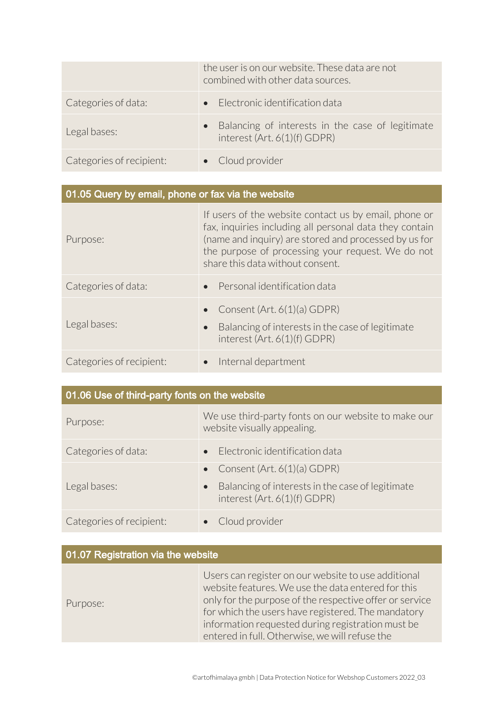|                          | the user is on our website. These data are not<br>combined with other data sources. |
|--------------------------|-------------------------------------------------------------------------------------|
| Categories of data:      | • Electronic identification data                                                    |
| Legal bases:             | Balancing of interests in the case of legitimate<br>interest (Art. 6(1)(f) GDPR)    |
| Categories of recipient: | • Cloud provider                                                                    |

| 01.05 Query by email, phone or fax via the website |                                                                                                                                                                                                                                                                    |
|----------------------------------------------------|--------------------------------------------------------------------------------------------------------------------------------------------------------------------------------------------------------------------------------------------------------------------|
| Purpose:                                           | If users of the website contact us by email, phone or<br>fax, inquiries including all personal data they contain<br>(name and inquiry) are stored and processed by us for<br>the purpose of processing your request. We do not<br>share this data without consent. |
| Categories of data:                                | • Personal identification data                                                                                                                                                                                                                                     |
| Legal bases:                                       | Consent (Art. 6(1)(a) GDPR)<br>$\bullet$<br>Balancing of interests in the case of legitimate<br>$\bullet$<br>interest (Art. 6(1)(f) GDPR)                                                                                                                          |
| Categories of recipient:                           | Internal department                                                                                                                                                                                                                                                |

| 01.06 Use of third-party fonts on the website |                                                                                               |
|-----------------------------------------------|-----------------------------------------------------------------------------------------------|
| Purpose:                                      | We use third-party fonts on our website to make our<br>website visually appealing.            |
| Categories of data:                           | • Electronic identification data                                                              |
|                                               | • Consent (Art. $6(1)(a)$ GDPR)                                                               |
| Legal bases:                                  | Balancing of interests in the case of legitimate<br>$\bullet$<br>interest (Art. 6(1)(f) GDPR) |
| Categories of recipient:                      | Cloud provider                                                                                |

| 01.07 Registration via the website |                                                                                                                                                                                                                                                                                                                                   |
|------------------------------------|-----------------------------------------------------------------------------------------------------------------------------------------------------------------------------------------------------------------------------------------------------------------------------------------------------------------------------------|
| Purpose:                           | Users can register on our website to use additional<br>website features. We use the data entered for this<br>only for the purpose of the respective offer or service<br>for which the users have registered. The mandatory<br>information requested during registration must be<br>entered in full. Otherwise, we will refuse the |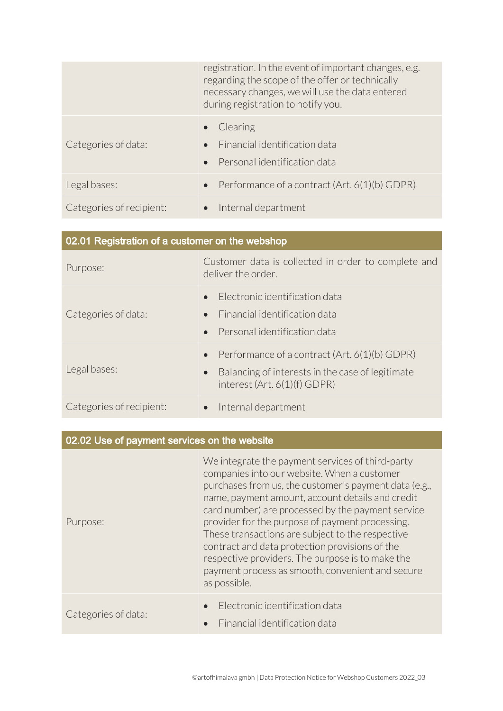|                          | registration. In the event of important changes, e.g.<br>regarding the scope of the offer or technically<br>necessary changes, we will use the data entered<br>during registration to notify you. |
|--------------------------|---------------------------------------------------------------------------------------------------------------------------------------------------------------------------------------------------|
| Categories of data:      | Clearing<br>• Financial identification data<br>Personal identification data                                                                                                                       |
| Legal bases:             | • Performance of a contract $(Art. 6(1)(b) GDPR)$                                                                                                                                                 |
| Categories of recipient: | Internal department                                                                                                                                                                               |

| 02.01 Registration of a customer on the webshop |                                                                                                                                                               |
|-------------------------------------------------|---------------------------------------------------------------------------------------------------------------------------------------------------------------|
| Purpose:                                        | Customer data is collected in order to complete and<br>deliver the order.                                                                                     |
| Categories of data:                             | Electronic identification data<br>$\bullet$<br>Financial identification data<br>$\bullet$<br>Personal identification data<br>$\bullet$                        |
| Legal bases:                                    | Performance of a contract (Art. 6(1)(b) GDPR)<br>$\bullet$<br>Balancing of interests in the case of legitimate<br>$\bullet$<br>interest $(Art. 6(1)(f) GDPR)$ |
| Categories of recipient:                        | Internal department<br>$\bullet$                                                                                                                              |

| 02.02 Use of payment services on the website |                                                                                                                                                                                                                                                                                                                                                                                                                                                                                                                                                    |
|----------------------------------------------|----------------------------------------------------------------------------------------------------------------------------------------------------------------------------------------------------------------------------------------------------------------------------------------------------------------------------------------------------------------------------------------------------------------------------------------------------------------------------------------------------------------------------------------------------|
| Purpose:                                     | We integrate the payment services of third-party<br>companies into our website. When a customer<br>purchases from us, the customer's payment data (e.g.,<br>name, payment amount, account details and credit<br>card number) are processed by the payment service<br>provider for the purpose of payment processing.<br>These transactions are subject to the respective<br>contract and data protection provisions of the<br>respective providers. The purpose is to make the<br>payment process as smooth, convenient and secure<br>as possible. |
| Categories of data:                          | Electronic identification data<br>Financial identification data                                                                                                                                                                                                                                                                                                                                                                                                                                                                                    |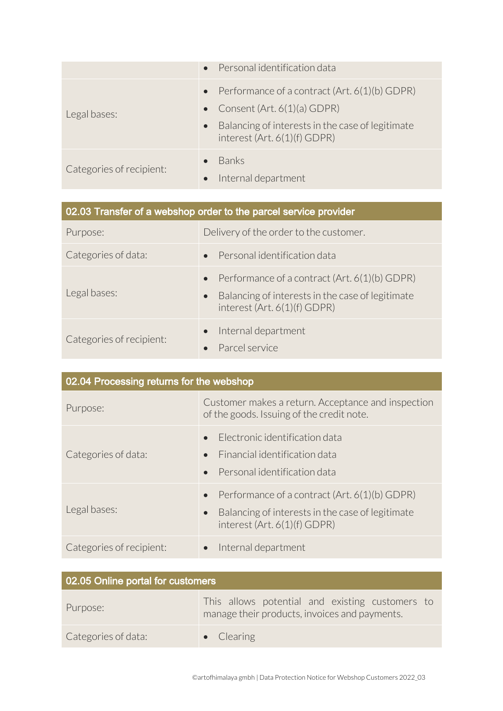|                          | • Personal identification data                                                                                                                                                        |
|--------------------------|---------------------------------------------------------------------------------------------------------------------------------------------------------------------------------------|
| Legal bases:             | • Performance of a contract $(Art. 6(1)(b) GDPR)$<br>• Consent (Art. $6(1)(a)$ GDPR)<br>Balancing of interests in the case of legitimate<br>$\bullet$<br>interest (Art. 6(1)(f) GDPR) |
| Categories of recipient: | <b>Banks</b><br>Internal department                                                                                                                                                   |

| 02.03 Transfer of a webshop order to the parcel service provider |                                                                                                                                                             |
|------------------------------------------------------------------|-------------------------------------------------------------------------------------------------------------------------------------------------------------|
| Purpose:                                                         | Delivery of the order to the customer.                                                                                                                      |
| Categories of data:                                              | Personal identification data<br>$\bullet$                                                                                                                   |
| Legal bases:                                                     | Performance of a contract (Art. 6(1)(b) GDPR)<br>$\bullet$<br>Balancing of interests in the case of legitimate<br>$\bullet$<br>interest (Art. 6(1)(f) GDPR) |
| Categories of recipient:                                         | Internal department<br>Parcel service                                                                                                                       |

| 02.04 Processing returns for the webshop |                                                                                                                                                               |
|------------------------------------------|---------------------------------------------------------------------------------------------------------------------------------------------------------------|
| Purpose:                                 | Customer makes a return. Acceptance and inspection<br>of the goods. Issuing of the credit note.                                                               |
| Categories of data:                      | Flectronic identification data<br>Financial identification data<br>Personal identification data                                                               |
| Legal bases:                             | Performance of a contract (Art. 6(1)(b) GDPR)<br>$\bullet$<br>Balancing of interests in the case of legitimate<br>$\bullet$<br>interest $(Art. 6(1)(f) GDPR)$ |
| Categories of recipient:                 | Internal department                                                                                                                                           |

| 02.05 Online portal for customers |                                                                                                  |
|-----------------------------------|--------------------------------------------------------------------------------------------------|
| Purpose:                          | This allows potential and existing customers to<br>manage their products, invoices and payments. |
| Categories of data:               | $\bullet$ Clearing                                                                               |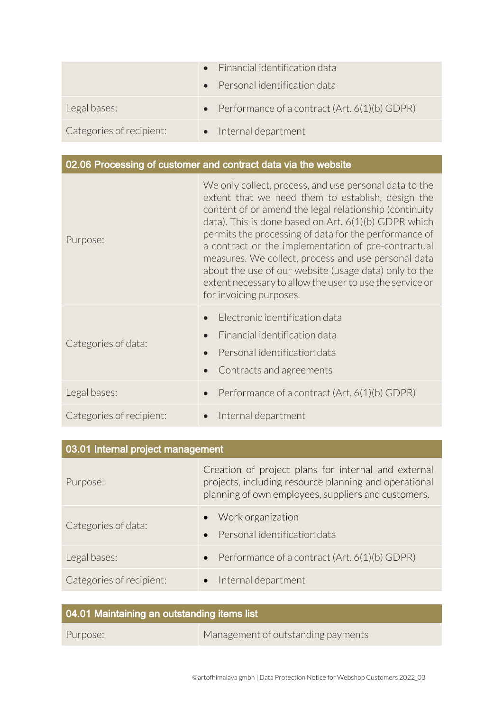|                          | $\bullet$ Financial identification data<br>$\bullet$ Personal identification data |
|--------------------------|-----------------------------------------------------------------------------------|
| Legal bases:             | • Performance of a contract $(Art. 6(1)(b)$ GDPR)                                 |
| Categories of recipient: | • Internal department                                                             |

# 02.06 Processing of customer and contract data via the website

| Purpose:                 | We only collect, process, and use personal data to the<br>extent that we need them to establish, design the<br>content of or amend the legal relationship (continuity<br>data). This is done based on $Art. 6(1)(b)$ GDPR which<br>permits the processing of data for the performance of<br>a contract or the implementation of pre-contractual<br>measures. We collect, process and use personal data<br>about the use of our website (usage data) only to the<br>extent necessary to allow the user to use the service or<br>for invoicing purposes. |
|--------------------------|--------------------------------------------------------------------------------------------------------------------------------------------------------------------------------------------------------------------------------------------------------------------------------------------------------------------------------------------------------------------------------------------------------------------------------------------------------------------------------------------------------------------------------------------------------|
| Categories of data:      | Electronic identification data<br>Financial identification data<br>Personal identification data<br>Contracts and agreements                                                                                                                                                                                                                                                                                                                                                                                                                            |
| Legal bases:             | Performance of a contract (Art. 6(1)(b) GDPR)                                                                                                                                                                                                                                                                                                                                                                                                                                                                                                          |
| Categories of recipient: | Internal department                                                                                                                                                                                                                                                                                                                                                                                                                                                                                                                                    |

| 03.01 Internal project management |                                                                                                                                                                     |
|-----------------------------------|---------------------------------------------------------------------------------------------------------------------------------------------------------------------|
| Purpose:                          | Creation of project plans for internal and external<br>projects, including resource planning and operational<br>planning of own employees, suppliers and customers. |
| Categories of data:               | • Work organization<br>Personal identification data                                                                                                                 |
| Legal bases:                      | Performance of a contract (Art. 6(1)(b) GDPR)<br>$\bullet$                                                                                                          |
| Categories of recipient:          | Internal department                                                                                                                                                 |

| 04.01 Maintaining an outstanding items list |                                    |
|---------------------------------------------|------------------------------------|
| Purpose:                                    | Management of outstanding payments |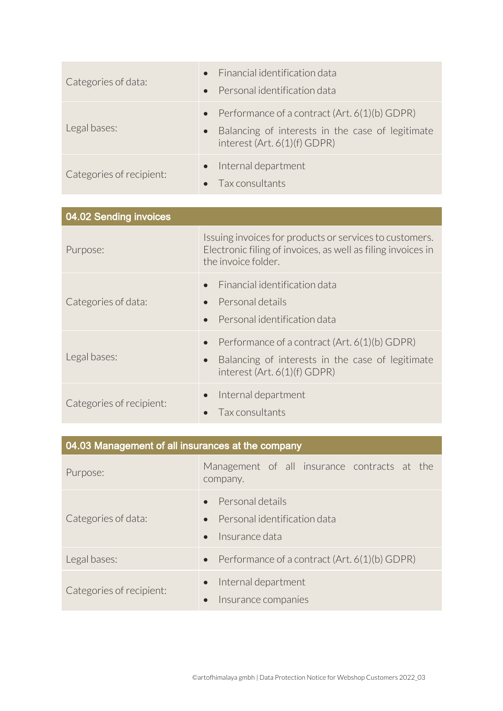| Categories of data:      | • Financial identification data<br>• Personal identification data                                                                                    |
|--------------------------|------------------------------------------------------------------------------------------------------------------------------------------------------|
| Legal bases:             | • Performance of a contract $(Art. 6(1)(b) GDPR)$<br>Balancing of interests in the case of legitimate<br>$\bullet$<br>interest $(Art. 6(1)(f) GDPR)$ |
| Categories of recipient: | • Internal department<br>$\bullet$ Tax consultants                                                                                                   |

| 04.02 Sending invoices   |                                                                                                                                                               |
|--------------------------|---------------------------------------------------------------------------------------------------------------------------------------------------------------|
| Purpose:                 | Issuing invoices for products or services to customers.<br>Electronic filing of invoices, as well as filing invoices in<br>the invoice folder.                |
| Categories of data:      | Financial identification data<br>Personal details<br>Personal identification data                                                                             |
| Legal bases:             | Performance of a contract (Art. 6(1)(b) GDPR)<br>$\bullet$<br>Balancing of interests in the case of legitimate<br>$\bullet$<br>interest $(Art. 6(1)(f) GDPR)$ |
| Categories of recipient: | Internal department<br>$\bullet$<br>Tax consultants                                                                                                           |

| 04.03 Management of all insurances at the company |                                                                                              |
|---------------------------------------------------|----------------------------------------------------------------------------------------------|
| Purpose:                                          | Management of all insurance contracts at the<br>company.                                     |
| Categories of data:                               | Personal details<br>Personal identification data<br>$\bullet$<br>Insurance data<br>$\bullet$ |
| Legal bases:                                      | Performance of a contract (Art. 6(1)(b) GDPR)<br>$\bullet$                                   |
| Categories of recipient:                          | Internal department<br>$\bullet$<br>Insurance companies                                      |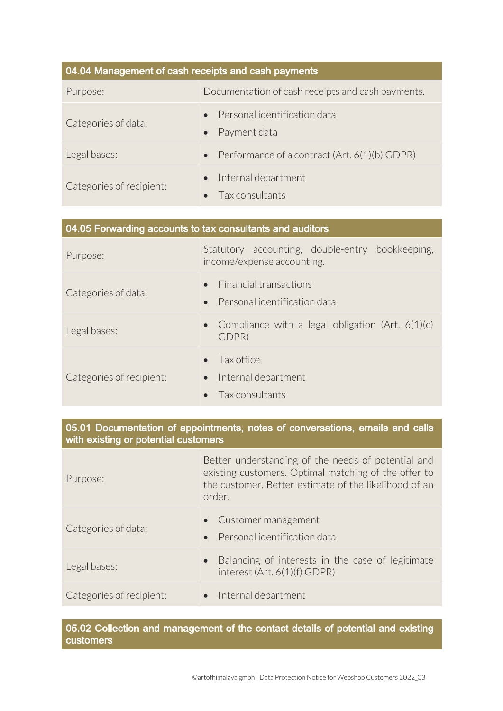| 04.04 Management of cash receipts and cash payments |                                                            |
|-----------------------------------------------------|------------------------------------------------------------|
| Purpose:                                            | Documentation of cash receipts and cash payments.          |
| Categories of data:                                 | Personal identification data<br>Payment data               |
| Legal bases:                                        | Performance of a contract (Art. 6(1)(b) GDPR)<br>$\bullet$ |
| Categories of recipient:                            | Internal department<br>$\bullet$<br>Tax consultants        |

| 04.05 Forwarding accounts to tax consultants and auditors |                                                                                         |
|-----------------------------------------------------------|-----------------------------------------------------------------------------------------|
| Purpose:                                                  | Statutory accounting, double-entry bookkeeping,<br>income/expense accounting.           |
| Categories of data:                                       | <b>Einancial transactions</b><br>$\bullet$<br>Personal identification data<br>$\bullet$ |
| Legal bases:                                              | • Compliance with a legal obligation (Art. $6(1)(c)$<br>GDPR)                           |
| Categories of recipient:                                  | Tax office<br>Internal department<br>$\bullet$<br>Tax consultants                       |

05.01 Documentation of appointments, notes of conversations, emails and calls with existing or potential customers

| Purpose:                 | Better understanding of the needs of potential and<br>existing customers. Optimal matching of the offer to<br>the customer. Better estimate of the likelihood of an<br>order. |
|--------------------------|-------------------------------------------------------------------------------------------------------------------------------------------------------------------------------|
| Categories of data:      | • Customer management<br>Personal identification data                                                                                                                         |
| Legal bases:             | Balancing of interests in the case of legitimate<br>interest (Art. 6(1)(f) GDPR)                                                                                              |
| Categories of recipient: | • Internal department                                                                                                                                                         |

05.02 Collection and management of the contact details of potential and existing customers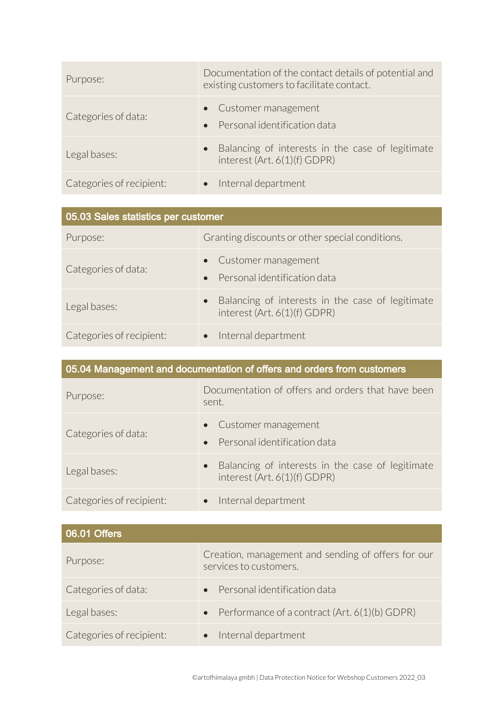| Purpose:                 | Documentation of the contact details of potential and<br>existing customers to facilitate contact. |
|--------------------------|----------------------------------------------------------------------------------------------------|
| Categories of data:      | • Customer management<br>• Personal identification data                                            |
| Legal bases:             | Balancing of interests in the case of legitimate<br>interest (Art. 6(1)(f) GDPR)                   |
| Categories of recipient: | • Internal department                                                                              |

| 05.03 Sales statistics per customer |                                                                                    |
|-------------------------------------|------------------------------------------------------------------------------------|
| Purpose:                            | Granting discounts or other special conditions.                                    |
| Categories of data:                 | • Customer management<br>• Personal identification data                            |
| Legal bases:                        | • Balancing of interests in the case of legitimate<br>interest (Art. 6(1)(f) GDPR) |
| Categories of recipient:            | • Internal department                                                              |

| 05.04 Management and documentation of offers and orders from customers |                                                                                  |
|------------------------------------------------------------------------|----------------------------------------------------------------------------------|
| Purpose:                                                               | Documentation of offers and orders that have been<br>sent.                       |
| Categories of data:                                                    | • Customer management<br>Personal identification data<br>$\bullet$               |
| Legal bases:                                                           | Balancing of interests in the case of legitimate<br>interest (Art. 6(1)(f) GDPR) |
| Categories of recipient:                                               | Internal department                                                              |

| $\sqrt{06.01}$ Offers    |                                                                              |
|--------------------------|------------------------------------------------------------------------------|
| Purpose:                 | Creation, management and sending of offers for our<br>services to customers. |
| Categories of data:      | • Personal identification data                                               |
| Legal bases:             | • Performance of a contract $(Art. 6(1)(b)$ GDPR)                            |
| Categories of recipient: | Internal department<br>$\bullet$                                             |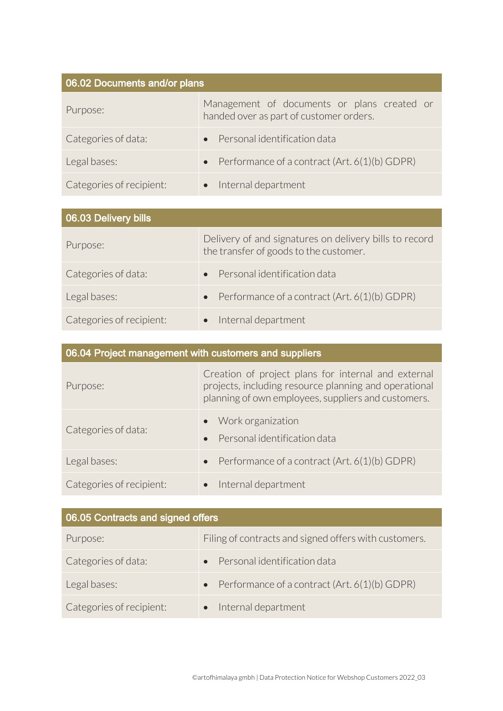| 06.02 Documents and/or plans |                                                                                        |
|------------------------------|----------------------------------------------------------------------------------------|
| Purpose:                     | Management of documents or plans created or<br>handed over as part of customer orders. |
| Categories of data:          | Personal identification data                                                           |
| Legal bases:                 | Performance of a contract (Art. 6(1)(b) GDPR)                                          |
| Categories of recipient:     | Internal department                                                                    |

| 06.03 Delivery bills     |                                                                                                  |
|--------------------------|--------------------------------------------------------------------------------------------------|
| Purpose:                 | Delivery of and signatures on delivery bills to record<br>the transfer of goods to the customer. |
| Categories of data:      | Personal identification data                                                                     |
| Legal bases:             | Performance of a contract (Art. 6(1)(b) GDPR)                                                    |
| Categories of recipient: | Internal department                                                                              |

| 06.04 Project management with customers and suppliers |                                                                                                                                                                     |  |
|-------------------------------------------------------|---------------------------------------------------------------------------------------------------------------------------------------------------------------------|--|
| Purpose:                                              | Creation of project plans for internal and external<br>projects, including resource planning and operational<br>planning of own employees, suppliers and customers. |  |
| Categories of data:                                   | • Work organization<br>Personal identification data                                                                                                                 |  |
| Legal bases:                                          | Performance of a contract (Art. 6(1)(b) GDPR)<br>$\bullet$                                                                                                          |  |
| Categories of recipient:                              | • Internal department                                                                                                                                               |  |

| 06.05 Contracts and signed offers |                                                            |
|-----------------------------------|------------------------------------------------------------|
| Purpose:                          | Filing of contracts and signed offers with customers.      |
| Categories of data:               | Personal identification data                               |
| Legal bases:                      | Performance of a contract (Art. 6(1)(b) GDPR)<br>$\bullet$ |
| Categories of recipient:          | Internal department                                        |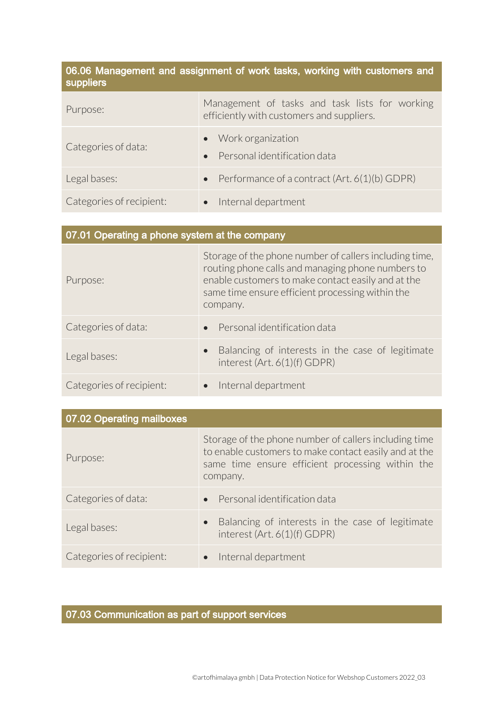| 06.06 Management and assignment of work tasks, working with customers and<br>suppliers |                                                                                             |
|----------------------------------------------------------------------------------------|---------------------------------------------------------------------------------------------|
| Purpose:                                                                               | Management of tasks and task lists for working<br>efficiently with customers and suppliers. |
| Categories of data:                                                                    | Work organization<br>$\bullet$<br>Personal identification data<br>$\bullet$                 |
| Legal bases:                                                                           | Performance of a contract (Art. 6(1)(b) GDPR)<br>$\bullet$                                  |
| Categories of recipient:                                                               | Internal department<br>$\bullet$                                                            |

| 07.01 Operating a phone system at the company |                                                                                                                                                                                                                                   |
|-----------------------------------------------|-----------------------------------------------------------------------------------------------------------------------------------------------------------------------------------------------------------------------------------|
| Purpose:                                      | Storage of the phone number of callers including time,<br>routing phone calls and managing phone numbers to<br>enable customers to make contact easily and at the<br>same time ensure efficient processing within the<br>company. |
| Categories of data:                           | Personal identification data<br>$\bullet$                                                                                                                                                                                         |
| Legal bases:                                  | Balancing of interests in the case of legitimate<br>$\bullet$<br>interest (Art. 6(1)(f) GDPR)                                                                                                                                     |
| Categories of recipient:                      | • Internal department                                                                                                                                                                                                             |

| 07.02 Operating mailboxes |                                                                                                                                                                                |
|---------------------------|--------------------------------------------------------------------------------------------------------------------------------------------------------------------------------|
| Purpose:                  | Storage of the phone number of callers including time<br>to enable customers to make contact easily and at the<br>same time ensure efficient processing within the<br>company. |
| Categories of data:       | • Personal identification data                                                                                                                                                 |
| Legal bases:              | Balancing of interests in the case of legitimate<br>$\bullet$<br>interest (Art. 6(1)(f) GDPR)                                                                                  |
| Categories of recipient:  | Internal department                                                                                                                                                            |

# 07.03 Communication as part of support services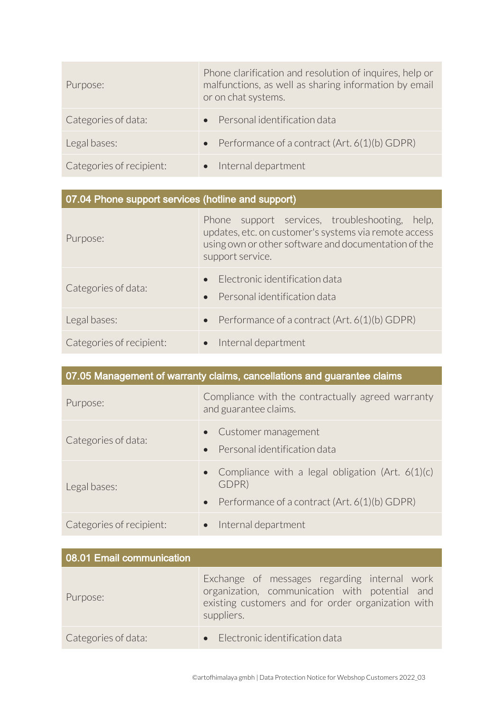| Purpose:                 | Phone clarification and resolution of inquires, help or<br>malfunctions, as well as sharing information by email<br>or on chat systems. |
|--------------------------|-----------------------------------------------------------------------------------------------------------------------------------------|
| Categories of data:      | Personal identification data                                                                                                            |
| Legal bases:             | • Performance of a contract $(Art. 6(1)(b)$ GDPR)                                                                                       |
| Categories of recipient: | Internal department                                                                                                                     |

| 07.04 Phone support services (hotline and support) |                                                                                                                                                                                        |
|----------------------------------------------------|----------------------------------------------------------------------------------------------------------------------------------------------------------------------------------------|
| Purpose:                                           | Phone support services, troubleshooting,<br>help,<br>updates, etc. on customer's systems via remote access<br>using own or other software and documentation of the<br>support service. |
| Categories of data:                                | Electronic identification data<br>Personal identification data                                                                                                                         |
| Legal bases:                                       | Performance of a contract (Art. 6(1)(b) GDPR)<br>$\bullet$                                                                                                                             |
| Categories of recipient:                           | Internal department                                                                                                                                                                    |

| 07.05 Management of warranty claims, cancellations and guarantee claims |                                                                                                                             |
|-------------------------------------------------------------------------|-----------------------------------------------------------------------------------------------------------------------------|
| Purpose:                                                                | Compliance with the contractually agreed warranty<br>and guarantee claims.                                                  |
| Categories of data:                                                     | Customer management<br>Personal identification data<br>$\bullet$                                                            |
| Legal bases:                                                            | • Compliance with a legal obligation (Art. $6(1)(c)$<br>GDPR)<br>Performance of a contract (Art. 6(1)(b) GDPR)<br>$\bullet$ |
| Categories of recipient:                                                | Internal department<br>$\bullet$                                                                                            |

| 08.01 Email communication |                                                                                                                                                                    |
|---------------------------|--------------------------------------------------------------------------------------------------------------------------------------------------------------------|
| Purpose:                  | Exchange of messages regarding internal work<br>organization, communication with potential and<br>existing customers and for order organization with<br>suppliers. |
| Categories of data:       | • Electronic identification data                                                                                                                                   |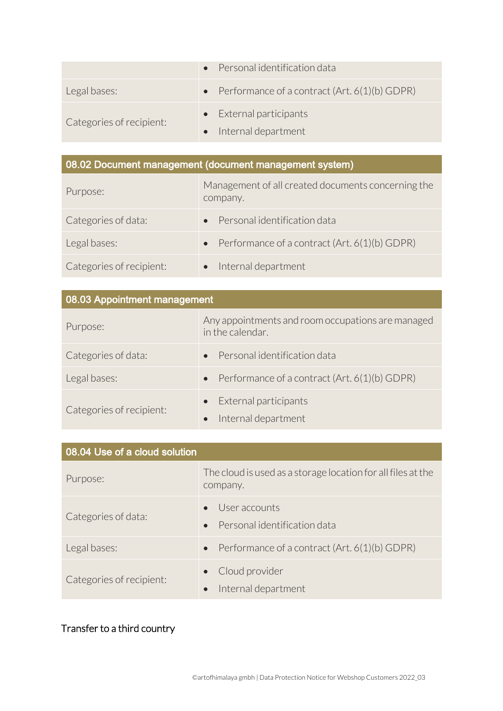|                          | • Personal identification data                    |
|--------------------------|---------------------------------------------------|
| Legal bases:             | • Performance of a contract $(Art. 6(1)(b)$ GDPR) |
| Categories of recipient: | • External participants<br>• Internal department  |

# 08.02 Document management (document management system)

| Purpose:                 | Management of all created documents concerning the<br>company. |
|--------------------------|----------------------------------------------------------------|
| Categories of data:      | • Personal identification data                                 |
| Legal bases:             | • Performance of a contract $(Art. 6(1)(b) GDPR)$              |
| Categories of recipient: | Internal department                                            |

| 08.03 Appointment management |                                                                       |
|------------------------------|-----------------------------------------------------------------------|
| Purpose:                     | Any appointments and room occupations are managed<br>in the calendar. |
| Categories of data:          | • Personal identification data                                        |
| Legal bases:                 | Performance of a contract (Art. 6(1)(b) GDPR)<br>$\bullet$            |
| Categories of recipient:     | • External participants<br>Internal department                        |

| 08.04 Use of a cloud solution |                                                                          |
|-------------------------------|--------------------------------------------------------------------------|
| Purpose:                      | The cloud is used as a storage location for all files at the<br>company. |
| Categories of data:           | User accounts<br>Personal identification data<br>$\bullet$               |
| Legal bases:                  | Performance of a contract (Art. 6(1)(b) GDPR)<br>$\bullet$               |
| Categories of recipient:      | • Cloud provider<br>Internal department                                  |

## Transfer to a third country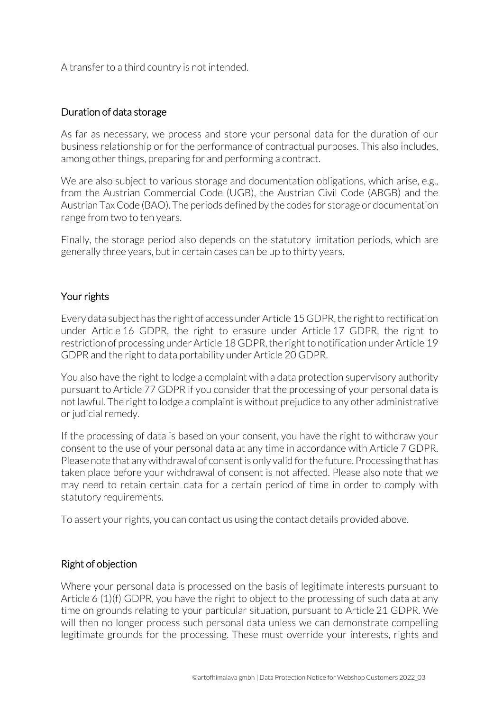A transfer to a third country is not intended.

### Duration of data storage

As far as necessary, we process and store your personal data for the duration of our business relationship or for the performance of contractual purposes. This also includes, among other things, preparing for and performing a contract.

We are also subject to various storage and documentation obligations, which arise, e.g., from the Austrian Commercial Code (UGB), the Austrian Civil Code (ABGB) and the Austrian Tax Code (BAO). The periods defined by the codes for storage or documentation range from two to ten years.

Finally, the storage period also depends on the statutory limitation periods, which are generally three years, but in certain cases can be up to thirty years.

## Your rights

Every data subject has the right of access under Article 15 GDPR, the right to rectification under Article 16 GDPR, the right to erasure under Article 17 GDPR, the right to restriction of processing under Article 18 GDPR, the right to notification under Article 19 GDPR and the right to data portability under Article 20 GDPR.

You also have the right to lodge a complaint with a data protection supervisory authority pursuant to Article 77 GDPR if you consider that the processing of your personal data is not lawful. The right to lodge a complaint is without prejudice to any other administrative or judicial remedy.

If the processing of data is based on your consent, you have the right to withdraw your consent to the use of your personal data at any time in accordance with Article 7 GDPR. Please note that any withdrawal of consent is only valid for the future. Processing that has taken place before your withdrawal of consent is not affected. Please also note that we may need to retain certain data for a certain period of time in order to comply with statutory requirements.

To assert your rights, you can contact us using the contact details provided above.

## Right of objection

Where your personal data is processed on the basis of legitimate interests pursuant to Article 6 (1)(f) GDPR, you have the right to object to the processing of such data at any time on grounds relating to your particular situation, pursuant to Article 21 GDPR. We will then no longer process such personal data unless we can demonstrate compelling legitimate grounds for the processing. These must override your interests, rights and